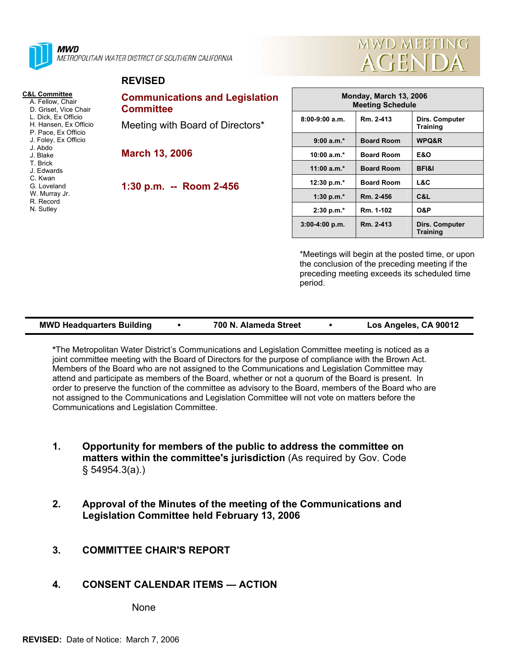

**MWD** METROPOLITAN WATER DISTRICT OF SOUTHERN CALIFORNIA

#### **REVISED**

- **C&L Committee** A. Fellow, Chair
	- D. Griset, Vice Chair
	- L. Dick, Ex Officio
	- H. Hansen, Ex Officio P. Pace, Ex Officio
	- J. Foley, Ex Officio
	- J. Abdo
	- J. Blake
	- T. Brick
	- J. Edwards
	- C. Kwan
	- G. Loveland
	- W. Murray Jr.
	- R. Record
	- N. Sutley

# **Communications and Legislation Committee**

Meeting with Board of Directors\*

**March 13, 2006** 

**1:30 p.m. -- Room 2-456** 



| Monday, March 13, 2006<br><b>Meeting Schedule</b> |                   |                                   |  |  |
|---------------------------------------------------|-------------------|-----------------------------------|--|--|
| $8:00-9:00$ a.m.                                  | Rm. 2-413         | Dirs. Computer<br><b>Training</b> |  |  |
| $9:00 a.m.*$                                      | <b>Board Room</b> | <b>WPQ&amp;R</b>                  |  |  |
| 10:00 $a.m.*$                                     | <b>Board Room</b> | E&O                               |  |  |
| 11:00 $a.m.*$                                     | <b>Board Room</b> | <b>BFI&amp;I</b>                  |  |  |
| 12:30 p.m. $*$                                    | <b>Board Room</b> | L&C                               |  |  |
| 1:30 p.m. $*$                                     | Rm. 2-456         | C&L                               |  |  |
| $2:30 p.m.*$                                      | Rm. 1-102         | <b>O&amp;P</b>                    |  |  |
| $3:00-4:00$ p.m.                                  | Rm. 2-413         | Dirs. Computer<br><b>Training</b> |  |  |

\*Meetings will begin at the posted time, or upon the conclusion of the preceding meeting if the preceding meeting exceeds its scheduled time period.

| <b>MWD Headquarters Building</b> | 700 N. Alameda Street | Los Angeles, CA 90012 |
|----------------------------------|-----------------------|-----------------------|
|                                  |                       |                       |

**\***The Metropolitan Water District's Communications and Legislation Committee meeting is noticed as a joint committee meeting with the Board of Directors for the purpose of compliance with the Brown Act. Members of the Board who are not assigned to the Communications and Legislation Committee may attend and participate as members of the Board, whether or not a quorum of the Board is present. In order to preserve the function of the committee as advisory to the Board, members of the Board who are not assigned to the Communications and Legislation Committee will not vote on matters before the Communications and Legislation Committee.

- **1. Opportunity for members of the public to address the committee on matters within the committee's jurisdiction** (As required by Gov. Code § 54954.3(a).)
- **2. Approval of the Minutes of the meeting of the Communications and Legislation Committee held February 13, 2006**
- **3. COMMITTEE CHAIR'S REPORT**
- **4. CONSENT CALENDAR ITEMS ACTION**

None